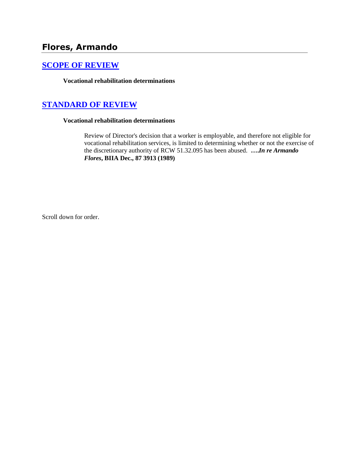# **Flores, Armando**

### **[SCOPE OF REVIEW](http://www.biia.wa.gov/SDSubjectIndex.html#SCOPE_OF_REVIEW)**

**Vocational rehabilitation determinations**

## **[STANDARD OF REVIEW](http://www.biia.wa.gov/SDSubjectIndex.html#STANDARD_OF_REVIEW)**

### **Vocational rehabilitation determinations**

Review of Director's decision that a worker is employable, and therefore not eligible for vocational rehabilitation services, is limited to determining whether or not the exercise of the discretionary authority of RCW 51.32.095 has been abused. **….***In re Armando Flores***, BIIA Dec., 87 3913 (1989)**

Scroll down for order.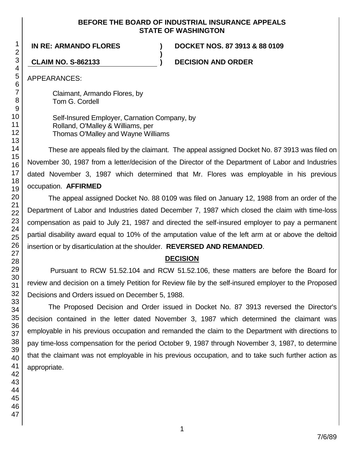### **BEFORE THE BOARD OF INDUSTRIAL INSURANCE APPEALS STATE OF WASHINGTON**

**)**

**IN RE: ARMANDO FLORES ) DOCKET NOS. 87 3913 & 88 0109**

**CLAIM NO. S-862133 ) DECISION AND ORDER**

APPEARANCES:

Claimant, Armando Flores, by Tom G. Cordell

Self-Insured Employer, Carnation Company, by Rolland, O'Malley & Williams, per Thomas O'Malley and Wayne Williams

These are appeals filed by the claimant. The appeal assigned Docket No. 87 3913 was filed on November 30, 1987 from a letter/decision of the Director of the Department of Labor and Industries dated November 3, 1987 which determined that Mr. Flores was employable in his previous occupation. **AFFIRMED**

The appeal assigned Docket No. 88 0109 was filed on January 12, 1988 from an order of the Department of Labor and Industries dated December 7, 1987 which closed the claim with time-loss compensation as paid to July 21, 1987 and directed the self-insured employer to pay a permanent partial disability award equal to 10% of the amputation value of the left arm at or above the deltoid insertion or by disarticulation at the shoulder. **REVERSED AND REMANDED**.

## **DECISION**

Pursuant to RCW 51.52.104 and RCW 51.52.106, these matters are before the Board for review and decision on a timely Petition for Review file by the self-insured employer to the Proposed Decisions and Orders issued on December 5, 1988.

The Proposed Decision and Order issued in Docket No. 87 3913 reversed the Director's decision contained in the letter dated November 3, 1987 which determined the claimant was employable in his previous occupation and remanded the claim to the Department with directions to pay time-loss compensation for the period October 9, 1987 through November 3, 1987, to determine that the claimant was not employable in his previous occupation, and to take such further action as appropriate.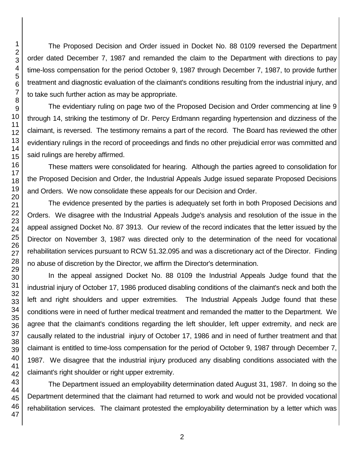The Proposed Decision and Order issued in Docket No. 88 0109 reversed the Department order dated December 7, 1987 and remanded the claim to the Department with directions to pay time-loss compensation for the period October 9, 1987 through December 7, 1987, to provide further treatment and diagnostic evaluation of the claimant's conditions resulting from the industrial injury, and to take such further action as may be appropriate.

The evidentiary ruling on page two of the Proposed Decision and Order commencing at line 9 through 14, striking the testimony of Dr. Percy Erdmann regarding hypertension and dizziness of the claimant, is reversed. The testimony remains a part of the record. The Board has reviewed the other evidentiary rulings in the record of proceedings and finds no other prejudicial error was committed and said rulings are hereby affirmed.

These matters were consolidated for hearing. Although the parties agreed to consolidation for the Proposed Decision and Order, the Industrial Appeals Judge issued separate Proposed Decisions and Orders. We now consolidate these appeals for our Decision and Order.

The evidence presented by the parties is adequately set forth in both Proposed Decisions and Orders. We disagree with the Industrial Appeals Judge's analysis and resolution of the issue in the appeal assigned Docket No. 87 3913. Our review of the record indicates that the letter issued by the Director on November 3, 1987 was directed only to the determination of the need for vocational rehabilitation services pursuant to RCW 51.32.095 and was a discretionary act of the Director. Finding no abuse of discretion by the Director, we affirm the Director's determination.

In the appeal assigned Docket No. 88 0109 the Industrial Appeals Judge found that the industrial injury of October 17, 1986 produced disabling conditions of the claimant's neck and both the left and right shoulders and upper extremities. The Industrial Appeals Judge found that these conditions were in need of further medical treatment and remanded the matter to the Department. We agree that the claimant's conditions regarding the left shoulder, left upper extremity, and neck are causally related to the industrial injury of October 17, 1986 and in need of further treatment and that claimant is entitled to time-loss compensation for the period of October 9, 1987 through December 7, 1987. We disagree that the industrial injury produced any disabling conditions associated with the claimant's right shoulder or right upper extremity.

The Department issued an employability determination dated August 31, 1987. In doing so the Department determined that the claimant had returned to work and would not be provided vocational rehabilitation services. The claimant protested the employability determination by a letter which was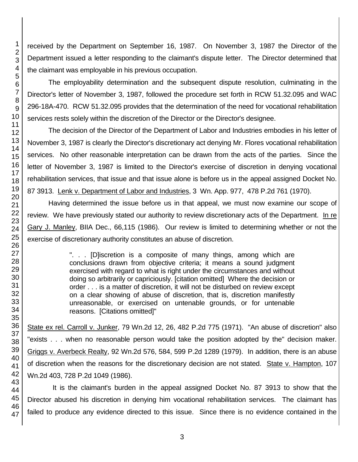received by the Department on September 16, 1987. On November 3, 1987 the Director of the Department issued a letter responding to the claimant's dispute letter. The Director determined that the claimant was employable in his previous occupation.

The employability determination and the subsequent dispute resolution, culminating in the Director's letter of November 3, 1987, followed the procedure set forth in RCW 51.32.095 and WAC 296-18A-470. RCW 51.32.095 provides that the determination of the need for vocational rehabilitation services rests solely within the discretion of the Director or the Director's designee.

The decision of the Director of the Department of Labor and Industries embodies in his letter of November 3, 1987 is clearly the Director's discretionary act denying Mr. Flores vocational rehabilitation services. No other reasonable interpretation can be drawn from the acts of the parties. Since the letter of November 3, 1987 is limited to the Director's exercise of discretion in denying vocational rehabilitation services, that issue and that issue alone is before us in the appeal assigned Docket No. 87 3913. Lenk v. Department of Labor and Industries, 3 Wn. App. 977, 478 P.2d 761 (1970).

Having determined the issue before us in that appeal, we must now examine our scope of review. We have previously stated our authority to review discretionary acts of the Department. In re Gary J. Manley, BIIA Dec., 66,115 (1986). Our review is limited to determining whether or not the exercise of discretionary authority constitutes an abuse of discretion.

> ". . . [D]iscretion is a composite of many things, among which are conclusions drawn from objective criteria; it means a sound judgment exercised with regard to what is right under the circumstances and without doing so arbitrarily or capriciously. [citation omitted] Where the decision or order . . . is a matter of discretion, it will not be disturbed on review except on a clear showing of abuse of discretion, that is, discretion manifestly unreasonable, or exercised on untenable grounds, or for untenable reasons. [Citations omitted]"

State ex rel. Carroll v. Junker, 79 Wn.2d 12, 26, 482 P.2d 775 (1971). "An abuse of discretion" also "exists . . . when no reasonable person would take the position adopted by the" decision maker. Griggs v. Averbeck Realty, 92 Wn.2d 576, 584, 599 P.2d 1289 (1979). In addition, there is an abuse of discretion when the reasons for the discretionary decision are not stated. State v. Hampton, 107 Wn.2d 403, 728 P.2d 1049 (1986).

It is the claimant's burden in the appeal assigned Docket No. 87 3913 to show that the Director abused his discretion in denying him vocational rehabilitation services. The claimant has failed to produce any evidence directed to this issue. Since there is no evidence contained in the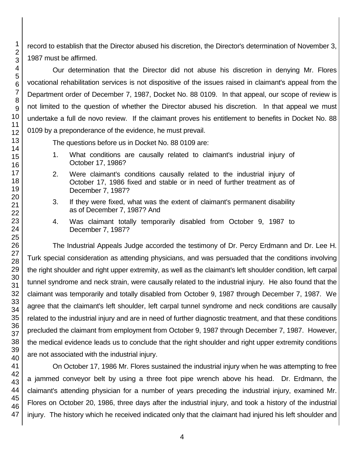record to establish that the Director abused his discretion, the Director's determination of November 3, 1987 must be affirmed.

Our determination that the Director did not abuse his discretion in denying Mr. Flores vocational rehabilitation services is not dispositive of the issues raised in claimant's appeal from the Department order of December 7, 1987, Docket No. 88 0109. In that appeal, our scope of review is not limited to the question of whether the Director abused his discretion. In that appeal we must undertake a full de novo review. If the claimant proves his entitlement to benefits in Docket No. 88 0109 by a preponderance of the evidence, he must prevail.

The questions before us in Docket No. 88 0109 are:

- 1. What conditions are causally related to claimant's industrial injury of October 17, 1986?
- 2. Were claimant's conditions causally related to the industrial injury of October 17, 1986 fixed and stable or in need of further treatment as of December 7, 1987?
- 3. If they were fixed, what was the extent of claimant's permanent disability as of December 7, 1987? And
- 4. Was claimant totally temporarily disabled from October 9, 1987 to December 7, 1987?

The Industrial Appeals Judge accorded the testimony of Dr. Percy Erdmann and Dr. Lee H. Turk special consideration as attending physicians, and was persuaded that the conditions involving the right shoulder and right upper extremity, as well as the claimant's left shoulder condition, left carpal tunnel syndrome and neck strain, were causally related to the industrial injury. He also found that the claimant was temporarily and totally disabled from October 9, 1987 through December 7, 1987. We agree that the claimant's left shoulder, left carpal tunnel syndrome and neck conditions are causally related to the industrial injury and are in need of further diagnostic treatment, and that these conditions precluded the claimant from employment from October 9, 1987 through December 7, 1987. However, the medical evidence leads us to conclude that the right shoulder and right upper extremity conditions are not associated with the industrial injury.

On October 17, 1986 Mr. Flores sustained the industrial injury when he was attempting to free a jammed conveyor belt by using a three foot pipe wrench above his head. Dr. Erdmann, the claimant's attending physician for a number of years preceding the industrial injury, examined Mr. Flores on October 20, 1986, three days after the industrial injury, and took a history of the industrial injury. The history which he received indicated only that the claimant had injured his left shoulder and

1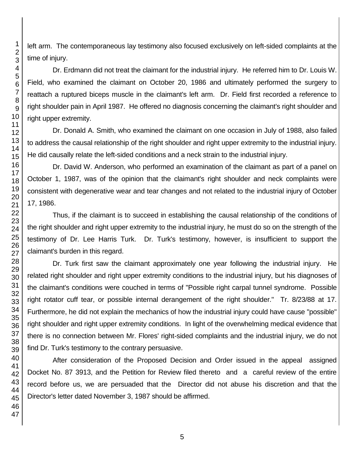left arm. The contemporaneous lay testimony also focused exclusively on left-sided complaints at the time of injury.

Dr. Erdmann did not treat the claimant for the industrial injury. He referred him to Dr. Louis W. Field, who examined the claimant on October 20, 1986 and ultimately performed the surgery to reattach a ruptured biceps muscle in the claimant's left arm. Dr. Field first recorded a reference to right shoulder pain in April 1987. He offered no diagnosis concerning the claimant's right shoulder and right upper extremity.

Dr. Donald A. Smith, who examined the claimant on one occasion in July of 1988, also failed to address the causal relationship of the right shoulder and right upper extremity to the industrial injury. He did causally relate the left-sided conditions and a neck strain to the industrial injury.

Dr. David W. Anderson, who performed an examination of the claimant as part of a panel on October 1, 1987, was of the opinion that the claimant's right shoulder and neck complaints were consistent with degenerative wear and tear changes and not related to the industrial injury of October 17, 1986.

Thus, if the claimant is to succeed in establishing the causal relationship of the conditions of the right shoulder and right upper extremity to the industrial injury, he must do so on the strength of the testimony of Dr. Lee Harris Turk. Dr. Turk's testimony, however, is insufficient to support the claimant's burden in this regard.

Dr. Turk first saw the claimant approximately one year following the industrial injury. He related right shoulder and right upper extremity conditions to the industrial injury, but his diagnoses of the claimant's conditions were couched in terms of "Possible right carpal tunnel syndrome. Possible right rotator cuff tear, or possible internal derangement of the right shoulder." Tr. 8/23/88 at 17. Furthermore, he did not explain the mechanics of how the industrial injury could have cause "possible" right shoulder and right upper extremity conditions. In light of the overwhelming medical evidence that there is no connection between Mr. Flores' right-sided complaints and the industrial injury, we do not find Dr. Turk's testimony to the contrary persuasive.

After consideration of the Proposed Decision and Order issued in the appeal assigned Docket No. 87 3913, and the Petition for Review filed thereto and a careful review of the entire record before us, we are persuaded that the Director did not abuse his discretion and that the Director's letter dated November 3, 1987 should be affirmed.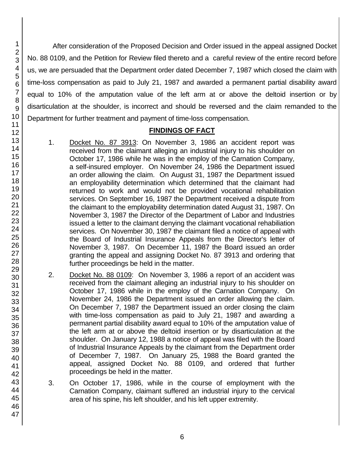After consideration of the Proposed Decision and Order issued in the appeal assigned Docket No. 88 0109, and the Petition for Review filed thereto and a careful review of the entire record before us, we are persuaded that the Department order dated December 7, 1987 which closed the claim with time-loss compensation as paid to July 21, 1987 and awarded a permanent partial disability award equal to 10% of the amputation value of the left arm at or above the deltoid insertion or by disarticulation at the shoulder, is incorrect and should be reversed and the claim remanded to the Department for further treatment and payment of time-loss compensation.

### **FINDINGS OF FACT**

- 1. Docket No. 87 3913: On November 3, 1986 an accident report was received from the claimant alleging an industrial injury to his shoulder on October 17, 1986 while he was in the employ of the Carnation Company, a self-insured employer. On November 24, 1986 the Department issued an order allowing the claim. On August 31, 1987 the Department issued an employability determination which determined that the claimant had returned to work and would not be provided vocational rehabilitation services. On September 16, 1987 the Department received a dispute from the claimant to the employability determination dated August 31, 1987. On November 3, 1987 the Director of the Department of Labor and Industries issued a letter to the claimant denying the claimant vocational rehabiliation services. On November 30, 1987 the claimant filed a notice of appeal with the Board of Industrial Insurance Appeals from the Director's letter of November 3, 1987. On December 11, 1987 the Board issued an order granting the appeal and assigning Docket No. 87 3913 and ordering that further proceedings be held in the matter.
- 2. Docket No. 88 0109: On November 3, 1986 a report of an accident was received from the claimant alleging an industrial injury to his shoulder on October 17, 1986 while in the employ of the Carnation Company. On November 24, 1986 the Department issued an order allowing the claim. On December 7, 1987 the Department issued an order closing the claim with time-loss compensation as paid to July 21, 1987 and awarding a permanent partial disability award equal to 10% of the amputation value of the left arm at or above the deltoid insertion or by disarticulation at the shoulder. On January 12, 1988 a notice of appeal was filed with the Board of Industrial Insurance Appeals by the claimant from the Department order of December 7, 1987. On January 25, 1988 the Board granted the appeal, assigned Docket No. 88 0109, and ordered that further proceedings be held in the matter.
- 3. On October 17, 1986, while in the course of employment with the Carnation Company, claimant suffered an industrial injury to the cervical area of his spine, his left shoulder, and his left upper extremity.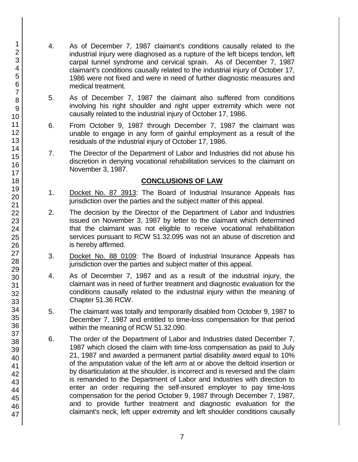- 4. As of December 7, 1987 claimant's conditions causally related to the industrial injury were diagnosed as a rupture of the left biceps tendon, left carpal tunnel syndrome and cervical sprain. As of December 7, 1987 claimant's conditions causally related to the industrial injury of October 17, 1986 were not fixed and were in need of further diagnostic measures and medical treatment.
- 5. As of December 7, 1987 the claimant also suffered from conditions involving his right shoulder and right upper extremity which were not causally related to the industrial injury of October 17, 1986.
- 6. From October 9, 1987 through December 7, 1987 the claimant was unable to engage in any form of gainful employment as a result of the residuals of the industrial injury of October 17, 1986.
- 7. The Director of the Department of Labor and Industries did not abuse his discretion in denying vocational rehabilitation services to the claimant on November 3, 1987.

### **CONCLUSIONS OF LAW**

- 1. Docket No. 87 3913: The Board of Industrial Insurance Appeals has jurisdiction over the parties and the subject matter of this appeal.
- 2. The decision by the Director of the Department of Labor and Industries issued on November 3, 1987 by letter to the claimant which determined that the claimant was not eligible to receive vocational rehabilitation services pursuant to RCW 51.32.095 was not an abuse of discretion and is hereby affirmed.
- 3. Docket No. 88 0109: The Board of Industrial Insurance Appeals has jurisdiction over the parties and subject matter of this appeal.
- 4. As of December 7, 1987 and as a result of the industrial injury, the claimant was in need of further treatment and diagnostic evaluation for the conditions causally related to the industrial injury within the meaning of Chapter 51.36 RCW.
- 5. The claimant was totally and temporarily disabled from October 9, 1987 to December 7, 1987 and entitled to time-loss compensation for that period within the meaning of RCW 51.32.090.
- 6. The order of the Department of Labor and Industries dated December 7, 1987 which closed the claim with time-loss compensation as paid to July 21, 1987 and awarded a permanent partial disability award equal to 10% of the amputation value of the left arm at or above the deltoid insertion or by disarticulation at the shoulder, is incorrect and is reversed and the claim is remanded to the Department of Labor and Industries with direction to enter an order requiring the self-insured employer to pay time-loss compensation for the period October 9, 1987 through December 7, 1987, and to provide further treatment and diagnostic evaluation for the claimant's neck, left upper extremity and left shoulder conditions causally